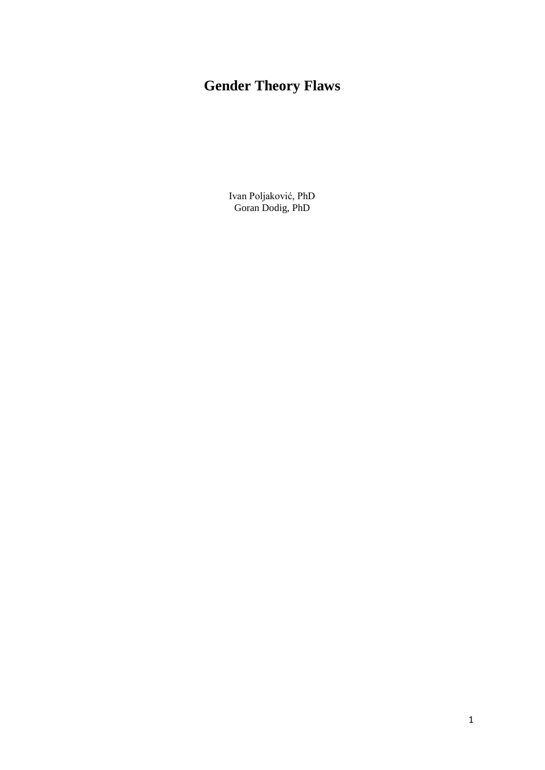Ivan Poljaković, PhD Goran Dodig, PhD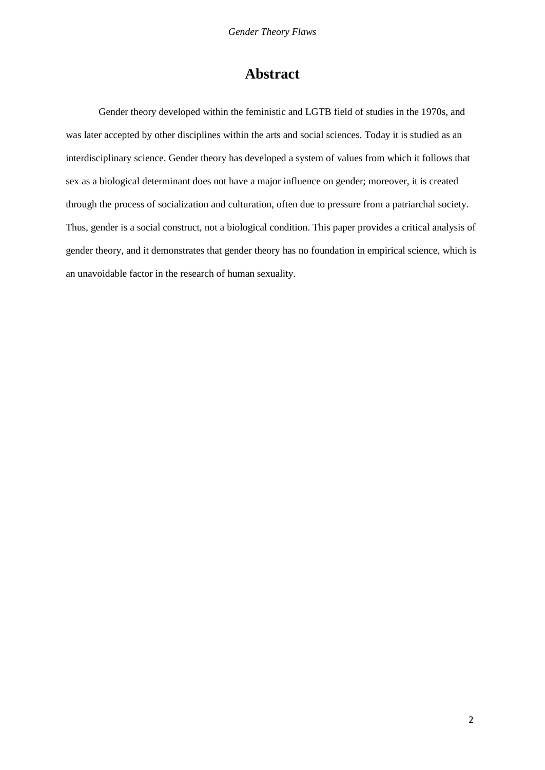# **Abstract**

Gender theory developed within the feministic and LGTB field of studies in the 1970s, and was later accepted by other disciplines within the arts and social sciences. Today it is studied as an interdisciplinary science. Gender theory has developed a system of values from which it follows that sex as a biological determinant does not have a major influence on gender; moreover, it is created through the process of socialization and culturation, often due to pressure from a patriarchal society. Thus, gender is a social construct, not a biological condition. This paper provides a critical analysis of gender theory, and it demonstrates that gender theory has no foundation in empirical science, which is an unavoidable factor in the research of human sexuality.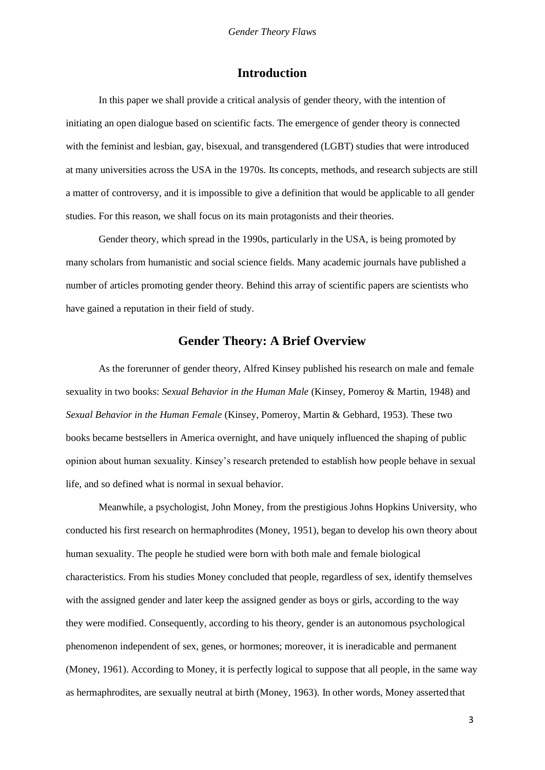### **Introduction**

In this paper we shall provide a critical analysis of gender theory, with the intention of initiating an open dialogue based on scientific facts. The emergence of gender theory is connected with the feminist and lesbian, gay, bisexual, and transgendered (LGBT) studies that were introduced at many universities across the USA in the 1970s. Its concepts, methods, and research subjects are still a matter of controversy, and it is impossible to give a definition that would be applicable to all gender studies. For this reason, we shall focus on its main protagonists and their theories.

Gender theory, which spread in the 1990s, particularly in the USA, is being promoted by many scholars from humanistic and social science fields. Many academic journals have published a number of articles promoting gender theory. Behind this array of scientific papers are scientists who have gained a reputation in their field of study.

## **Gender Theory: A Brief Overview**

As the forerunner of gender theory, Alfred Kinsey published his research on male and female sexuality in two books: *Sexual Behavior in the Human Male* (Kinsey, Pomeroy & Martin, 1948) and *Sexual Behavior in the Human Female* (Kinsey, Pomeroy, Martin & Gebhard, 1953). These two books became bestsellers in America overnight, and have uniquely influenced the shaping of public opinion about human sexuality. Kinsey's research pretended to establish how people behave in sexual life, and so defined what is normal in sexual behavior.

Meanwhile, a psychologist, John Money, from the prestigious Johns Hopkins University, who conducted his first research on hermaphrodites (Money, 1951), began to develop his own theory about human sexuality. The people he studied were born with both male and female biological characteristics. From his studies Money concluded that people, regardless of sex, identify themselves with the assigned gender and later keep the assigned gender as boys or girls, according to the way they were modified. Consequently, according to his theory, gender is an autonomous psychological phenomenon independent of sex, genes, or hormones; moreover, it is ineradicable and permanent (Money, 1961). According to Money, it is perfectly logical to suppose that all people, in the same way as hermaphrodites, are sexually neutral at birth (Money, 1963). In other words, Money asserted that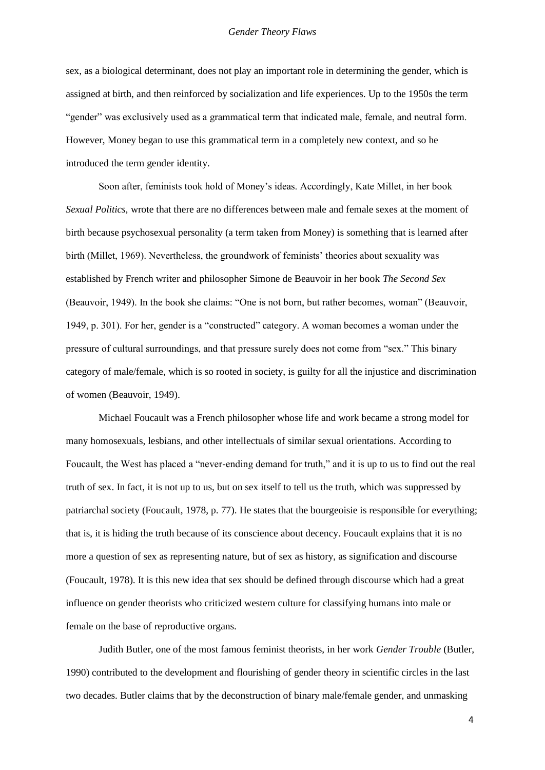sex, as a biological determinant, does not play an important role in determining the gender, which is assigned at birth, and then reinforced by socialization and life experiences. Up to the 1950s the term "gender" was exclusively used as a grammatical term that indicated male, female, and neutral form. However, Money began to use this grammatical term in a completely new context, and so he introduced the term gender identity.

Soon after, feminists took hold of Money's ideas. Accordingly, Kate Millet, in her book *Sexual Politics,* wrote that there are no differences between male and female sexes at the moment of birth because psychosexual personality (a term taken from Money) is something that is learned after birth (Millet, 1969). Nevertheless, the groundwork of feminists' theories about sexuality was established by French writer and philosopher Simone de Beauvoir in her book *The Second Sex*  (Beauvoir, 1949). In the book she claims: "One is not born, but rather becomes, woman" (Beauvoir, 1949, p. 301). For her, gender is a "constructed" category. A woman becomes a woman under the pressure of cultural surroundings, and that pressure surely does not come from "sex." This binary category of male/female, which is so rooted in society, is guilty for all the injustice and discrimination of women (Beauvoir, 1949).

Michael Foucault was a French philosopher whose life and work became a strong model for many homosexuals, lesbians, and other intellectuals of similar sexual orientations. According to Foucault, the West has placed a "never-ending demand for truth," and it is up to us to find out the real truth of sex. In fact, it is not up to us, but on sex itself to tell us the truth, which was suppressed by patriarchal society (Foucault, 1978, p. 77). He states that the bourgeoisie is responsible for everything; that is, it is hiding the truth because of its conscience about decency. Foucault explains that it is no more a question of sex as representing nature, but of sex as history, as signification and discourse (Foucault, 1978). It is this new idea that sex should be defined through discourse which had a great influence on gender theorists who criticized western culture for classifying humans into male or female on the base of reproductive organs.

Judith Butler, one of the most famous feminist theorists, in her work *Gender Trouble* (Butler, 1990) contributed to the development and flourishing of gender theory in scientific circles in the last two decades. Butler claims that by the deconstruction of binary male/female gender, and unmasking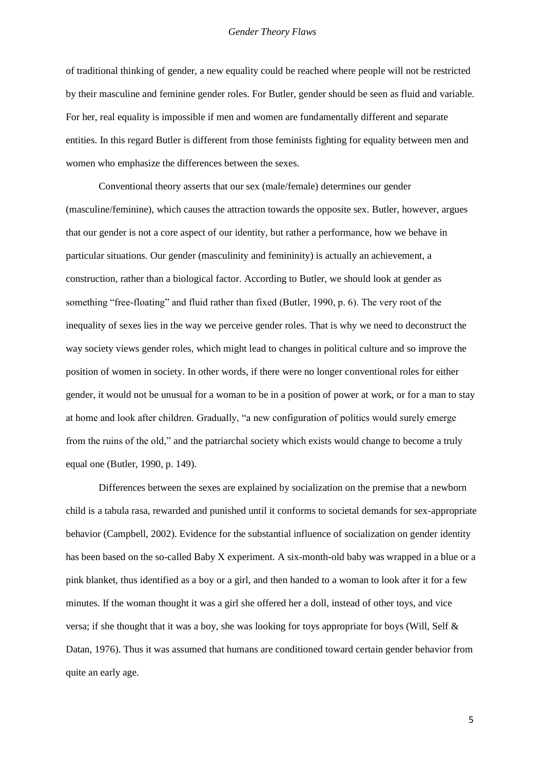of traditional thinking of gender, a new equality could be reached where people will not be restricted by their masculine and feminine gender roles. For Butler, gender should be seen as fluid and variable. For her, real equality is impossible if men and women are fundamentally different and separate entities. In this regard Butler is different from those feminists fighting for equality between men and women who emphasize the differences between the sexes.

Conventional theory asserts that our sex (male/female) determines our gender (masculine/feminine), which causes the attraction towards the opposite sex. Butler, however, argues that our gender is not a core aspect of our identity, but rather a performance, how we behave in particular situations. Our gender (masculinity and femininity) is actually an achievement, a construction, rather than a biological factor. According to Butler, we should look at gender as something "free-floating" and fluid rather than fixed (Butler, 1990, p. 6). The very root of the inequality of sexes lies in the way we perceive gender roles. That is why we need to deconstruct the way society views gender roles, which might lead to changes in political culture and so improve the position of women in society. In other words, if there were no longer conventional roles for either gender, it would not be unusual for a woman to be in a position of power at work, or for a man to stay at home and look after children. Gradually, "a new configuration of politics would surely emerge from the ruins of the old," and the patriarchal society which exists would change to become a truly equal one (Butler, 1990, p. 149).

Differences between the sexes are explained by socialization on the premise that a newborn child is a tabula rasa, rewarded and punished until it conforms to societal demands for sex-appropriate behavior (Campbell, 2002). Evidence for the substantial influence of socialization on gender identity has been based on the so-called Baby X experiment. A six-month-old baby was wrapped in a blue or a pink blanket, thus identified as a boy or a girl, and then handed to a woman to look after it for a few minutes. If the woman thought it was a girl she offered her a doll, instead of other toys, and vice versa; if she thought that it was a boy, she was looking for toys appropriate for boys (Will, Self & Datan, 1976). Thus it was assumed that humans are conditioned toward certain gender behavior from quite an early age.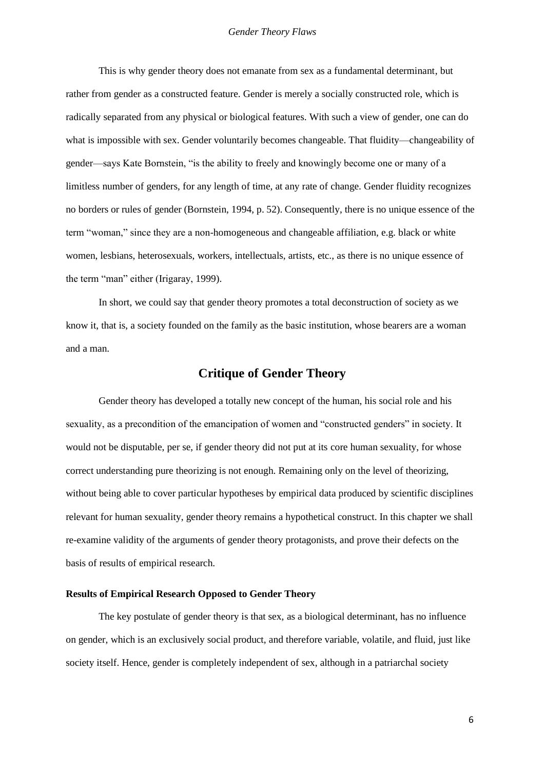This is why gender theory does not emanate from sex as a fundamental determinant, but rather from gender as a constructed feature. Gender is merely a socially constructed role, which is radically separated from any physical or biological features. With such a view of gender, one can do what is impossible with sex. Gender voluntarily becomes changeable. That fluidity—changeability of gender—says Kate Bornstein, "is the ability to freely and knowingly become one or many of a limitless number of genders, for any length of time, at any rate of change. Gender fluidity recognizes no borders or rules of gender (Bornstein, 1994, p. 52). Consequently, there is no unique essence of the term "woman," since they are a non-homogeneous and changeable affiliation, e.g. black or white women, lesbians, heterosexuals, workers, intellectuals, artists, etc., as there is no unique essence of the term "man" either (Irigaray, 1999).

In short, we could say that gender theory promotes a total deconstruction of society as we know it, that is, a society founded on the family as the basic institution, whose bearers are a woman and a man.

### **Critique of Gender Theory**

Gender theory has developed a totally new concept of the human, his social role and his sexuality, as a precondition of the emancipation of women and "constructed genders" in society. It would not be disputable, per se, if gender theory did not put at its core human sexuality, for whose correct understanding pure theorizing is not enough. Remaining only on the level of theorizing, without being able to cover particular hypotheses by empirical data produced by scientific disciplines relevant for human sexuality, gender theory remains a hypothetical construct. In this chapter we shall re-examine validity of the arguments of gender theory protagonists, and prove their defects on the basis of results of empirical research.

#### **Results of Empirical Research Opposed to Gender Theory**

The key postulate of gender theory is that sex, as a biological determinant, has no influence on gender, which is an exclusively social product, and therefore variable, volatile, and fluid, just like society itself. Hence, gender is completely independent of sex, although in a patriarchal society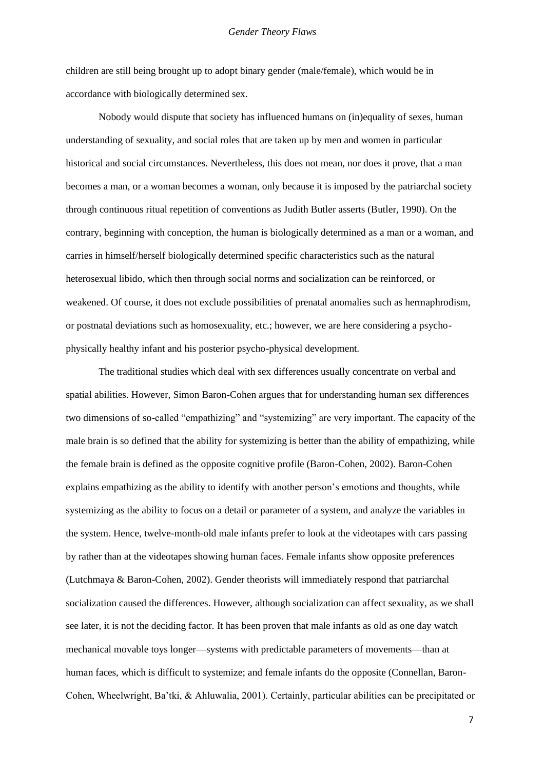children are still being brought up to adopt binary gender (male/female), which would be in accordance with biologically determined sex.

Nobody would dispute that society has influenced humans on (in)equality of sexes, human understanding of sexuality, and social roles that are taken up by men and women in particular historical and social circumstances. Nevertheless, this does not mean, nor does it prove, that a man becomes a man, or a woman becomes a woman, only because it is imposed by the patriarchal society through continuous ritual repetition of conventions as Judith Butler asserts (Butler, 1990). On the contrary, beginning with conception, the human is biologically determined as a man or a woman, and carries in himself/herself biologically determined specific characteristics such as the natural heterosexual libido, which then through social norms and socialization can be reinforced, or weakened. Of course, it does not exclude possibilities of prenatal anomalies such as hermaphrodism, or postnatal deviations such as homosexuality, etc.; however, we are here considering a psychophysically healthy infant and his posterior psycho-physical development.

The traditional studies which deal with sex differences usually concentrate on verbal and spatial abilities. However, Simon Baron-Cohen argues that for understanding human sex differences two dimensions of so-called "empathizing" and "systemizing" are very important. The capacity of the male brain is so defined that the ability for systemizing is better than the ability of empathizing, while the female brain is defined as the opposite cognitive profile (Baron-Cohen, 2002). Baron-Cohen explains empathizing as the ability to identify with another person's emotions and thoughts, while systemizing as the ability to focus on a detail or parameter of a system, and analyze the variables in the system. Hence, twelve-month-old male infants prefer to look at the videotapes with cars passing by rather than at the videotapes showing human faces. Female infants show opposite preferences (Lutchmaya & Baron-Cohen, 2002). Gender theorists will immediately respond that patriarchal socialization caused the differences. However, although socialization can affect sexuality, as we shall see later, it is not the deciding factor. It has been proven that male infants as old as one day watch mechanical movable toys longer—systems with predictable parameters of movements—than at human faces, which is difficult to systemize; and female infants do the opposite (Connellan, Baron-Cohen, Wheelwright, Ba'tki, & Ahluwalia, 2001). Certainly, particular abilities can be precipitated or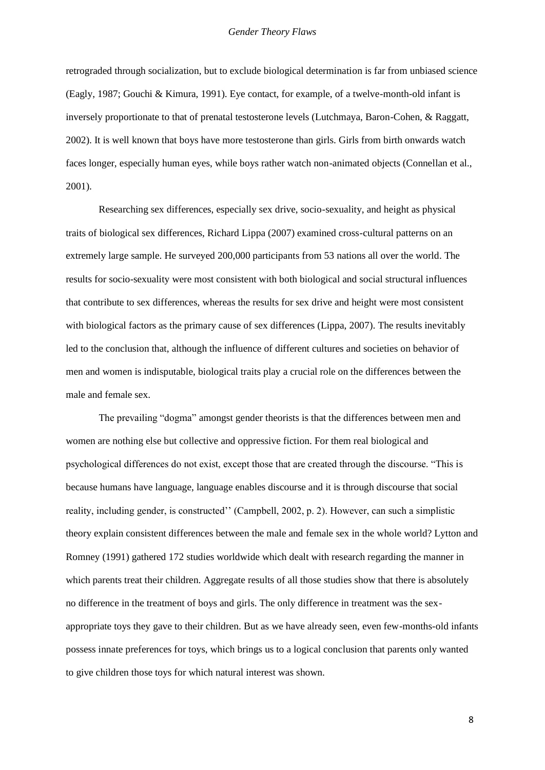retrograded through socialization, but to exclude biological determination is far from unbiased science (Eagly, 1987; Gouchi & Kimura, 1991). Eye contact, for example, of a twelve-month-old infant is inversely proportionate to that of prenatal testosterone levels (Lutchmaya, Baron-Cohen, & Raggatt, 2002). It is well known that boys have more testosterone than girls. Girls from birth onwards watch faces longer, especially human eyes, while boys rather watch non-animated objects (Connellan et al., 2001).

Researching sex differences, especially sex drive, socio-sexuality, and height as physical traits of biological sex differences, Richard Lippa (2007) examined cross-cultural patterns on an extremely large sample. He surveyed 200,000 participants from 53 nations all over the world. The results for socio-sexuality were most consistent with both biological and social structural influences that contribute to sex differences, whereas the results for sex drive and height were most consistent with biological factors as the primary cause of sex differences (Lippa, 2007). The results inevitably led to the conclusion that, although the influence of different cultures and societies on behavior of men and women is indisputable, biological traits play a crucial role on the differences between the male and female sex.

The prevailing "dogma" amongst gender theorists is that the differences between men and women are nothing else but collective and oppressive fiction. For them real biological and psychological differences do not exist, except those that are created through the discourse. "This is because humans have language, language enables discourse and it is through discourse that social reality, including gender, is constructed'' (Campbell, 2002, p. 2). However, can such a simplistic theory explain consistent differences between the male and female sex in the whole world? Lytton and Romney (1991) gathered 172 studies worldwide which dealt with research regarding the manner in which parents treat their children. Aggregate results of all those studies show that there is absolutely no difference in the treatment of boys and girls. The only difference in treatment was the sexappropriate toys they gave to their children. But as we have already seen, even few-months-old infants possess innate preferences for toys, which brings us to a logical conclusion that parents only wanted to give children those toys for which natural interest was shown.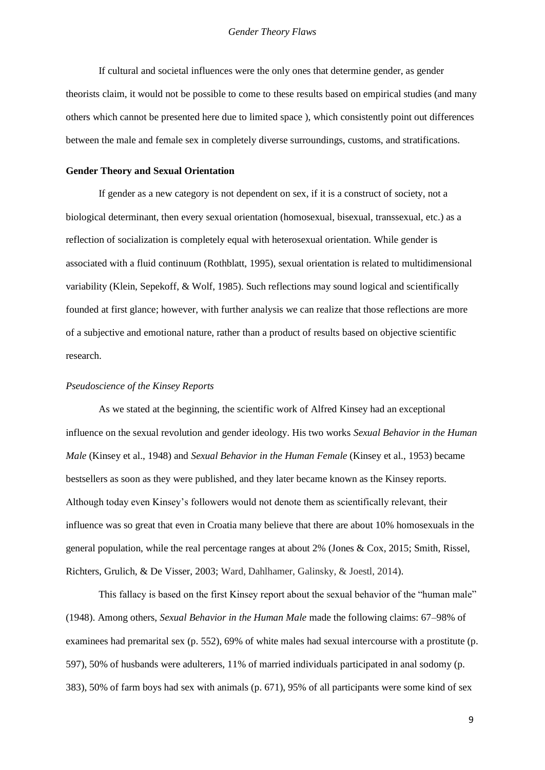If cultural and societal influences were the only ones that determine gender, as gender theorists claim, it would not be possible to come to these results based on empirical studies (and many others which cannot be presented here due to limited space ), which consistently point out differences between the male and female sex in completely diverse surroundings, customs, and stratifications.

#### **Gender Theory and Sexual Orientation**

If gender as a new category is not dependent on sex, if it is a construct of society, not a biological determinant, then every sexual orientation (homosexual, bisexual, transsexual, etc.) as a reflection of socialization is completely equal with heterosexual orientation. While gender is associated with a fluid continuum (Rothblatt, 1995), sexual orientation is related to multidimensional variability (Klein, Sepekoff, & Wolf, 1985). Such reflections may sound logical and scientifically founded at first glance; however, with further analysis we can realize that those reflections are more of a subjective and emotional nature, rather than a product of results based on objective scientific research.

#### *Pseudoscience of the Kinsey Reports*

As we stated at the beginning, the scientific work of Alfred Kinsey had an exceptional influence on the sexual revolution and gender ideology. His two works *Sexual Behavior in the Human Male* (Kinsey et al., 1948) and *Sexual Behavior in the Human Female* (Kinsey et al., 1953) became bestsellers as soon as they were published, and they later became known as the Kinsey reports. Although today even Kinsey's followers would not denote them as scientifically relevant, their influence was so great that even in Croatia many believe that there are about 10% homosexuals in the general population, while the real percentage ranges at about 2% (Jones & Cox, 2015; Smith, Rissel, Richters, Grulich, & De Visser, 2003; Ward, Dahlhamer, Galinsky, & Joestl, 2014).

This fallacy is based on the first Kinsey report about the sexual behavior of the "human male" (1948). Among others, *Sexual Behavior in the Human Male* made the following claims: 67–98% of examinees had premarital sex (p. 552), 69% of white males had sexual intercourse with a prostitute (p. 597), 50% of husbands were adulterers, 11% of married individuals participated in anal sodomy (p. 383), 50% of farm boys had sex with animals (p. 671), 95% of all participants were some kind of sex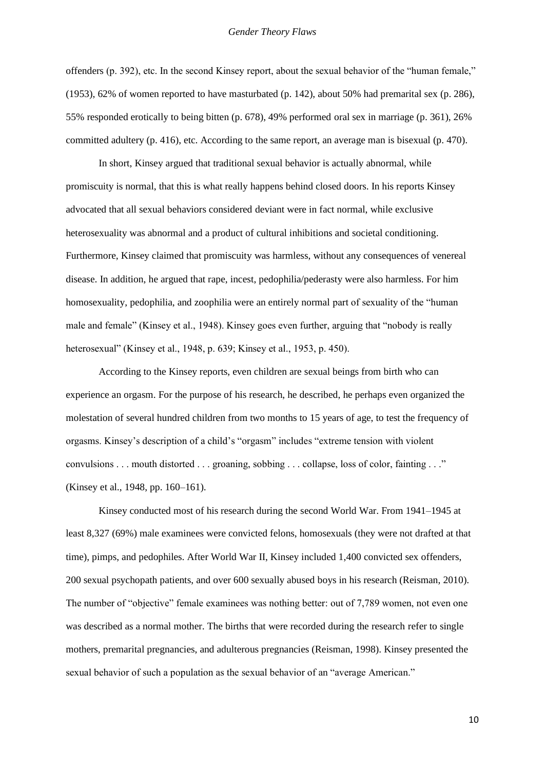offenders (p. 392), etc. In the second Kinsey report, about the sexual behavior of the "human female," (1953), 62% of women reported to have masturbated (p. 142), about 50% had premarital sex (p. 286), 55% responded erotically to being bitten (p. 678), 49% performed oral sex in marriage (p. 361), 26% committed adultery (p. 416), etc. According to the same report, an average man is bisexual (p. 470).

In short, Kinsey argued that traditional sexual behavior is actually abnormal, while promiscuity is normal, that this is what really happens behind closed doors. In his reports Kinsey advocated that all sexual behaviors considered deviant were in fact normal, while exclusive heterosexuality was abnormal and a product of cultural inhibitions and societal conditioning. Furthermore, Kinsey claimed that promiscuity was harmless, without any consequences of venereal disease. In addition, he argued that rape, incest, pedophilia/pederasty were also harmless. For him homosexuality, pedophilia, and zoophilia were an entirely normal part of sexuality of the "human male and female" (Kinsey et al., 1948). Kinsey goes even further, arguing that "nobody is really heterosexual" (Kinsey et al., 1948, p. 639; Kinsey et al., 1953, p. 450).

According to the Kinsey reports, even children are sexual beings from birth who can experience an orgasm. For the purpose of his research, he described, he perhaps even organized the molestation of several hundred children from two months to 15 years of age, to test the frequency of orgasms. Kinsey's description of a child's "orgasm" includes "extreme tension with violent convulsions . . . mouth distorted . . . groaning, sobbing . . . collapse, loss of color, fainting . . ." (Kinsey et al., 1948, pp. 160–161).

Kinsey conducted most of his research during the second World War. From 1941–1945 at least 8,327 (69%) male examinees were convicted felons, homosexuals (they were not drafted at that time), pimps, and pedophiles. After World War II, Kinsey included 1,400 convicted sex offenders, 200 sexual psychopath patients, and over 600 sexually abused boys in his research (Reisman, 2010). The number of "objective" female examinees was nothing better: out of 7,789 women, not even one was described as a normal mother. The births that were recorded during the research refer to single mothers, premarital pregnancies, and adulterous pregnancies (Reisman, 1998). Kinsey presented the sexual behavior of such a population as the sexual behavior of an "average American."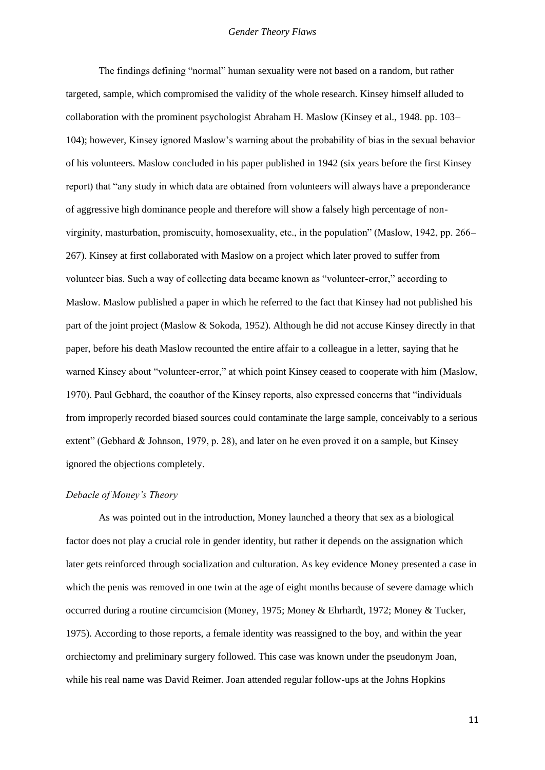The findings defining "normal" human sexuality were not based on a random, but rather targeted, sample, which compromised the validity of the whole research. Kinsey himself alluded to collaboration with the prominent psychologist Abraham H. Maslow (Kinsey et al., 1948. pp. 103– 104); however, Kinsey ignored Maslow's warning about the probability of bias in the sexual behavior of his volunteers. Maslow concluded in his paper published in 1942 (six years before the first Kinsey report) that "any study in which data are obtained from volunteers will always have a preponderance of aggressive high dominance people and therefore will show a falsely high percentage of nonvirginity, masturbation, promiscuity, homosexuality, etc., in the population" (Maslow, 1942, pp. 266– 267). Kinsey at first collaborated with Maslow on a project which later proved to suffer from volunteer bias. Such a way of collecting data became known as "volunteer-error," according to Maslow. Maslow published a paper in which he referred to the fact that Kinsey had not published his part of the joint project (Maslow & Sokoda, 1952). Although he did not accuse Kinsey directly in that paper, before his death Maslow recounted the entire affair to a colleague in a letter, saying that he warned Kinsey about "volunteer-error," at which point Kinsey ceased to cooperate with him (Maslow, 1970). Paul Gebhard, the coauthor of the Kinsey reports, also expressed concerns that "individuals from improperly recorded biased sources could contaminate the large sample, conceivably to a serious extent" (Gebhard & Johnson, 1979, p. 28), and later on he even proved it on a sample, but Kinsey ignored the objections completely.

#### *Debacle of Money's Theory*

As was pointed out in the introduction, Money launched a theory that sex as a biological factor does not play a crucial role in gender identity, but rather it depends on the assignation which later gets reinforced through socialization and culturation. As key evidence Money presented a case in which the penis was removed in one twin at the age of eight months because of severe damage which occurred during a routine circumcision (Money, 1975; Money & Ehrhardt, 1972; Money & Tucker, 1975). According to those reports, a female identity was reassigned to the boy, and within the year orchiectomy and preliminary surgery followed. This case was known under the pseudonym Joan, while his real name was David Reimer. Joan attended regular follow-ups at the Johns Hopkins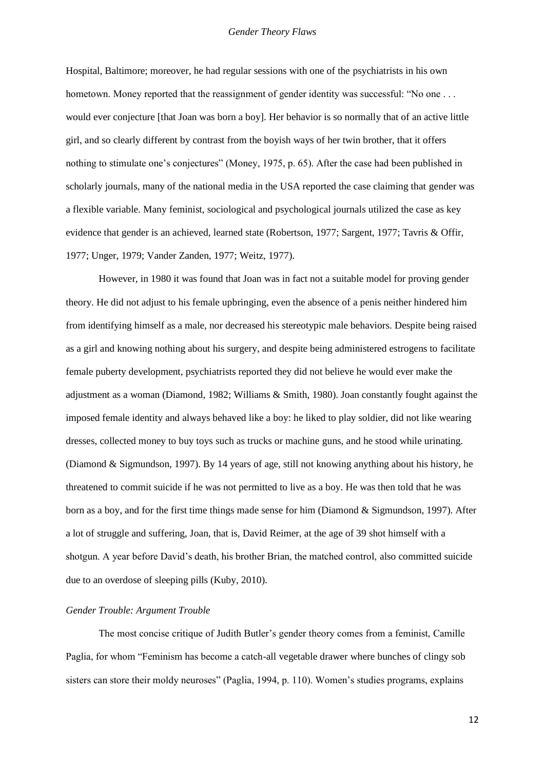Hospital, Baltimore; moreover, he had regular sessions with one of the psychiatrists in his own hometown. Money reported that the reassignment of gender identity was successful: "No one . . . would ever conjecture [that Joan was born a boy]. Her behavior is so normally that of an active little girl, and so clearly different by contrast from the boyish ways of her twin brother, that it offers nothing to stimulate one's conjectures" (Money, 1975, p. 65). After the case had been published in scholarly journals, many of the national media in the USA reported the case claiming that gender was a flexible variable. Many feminist, sociological and psychological journals utilized the case as key evidence that gender is an achieved, learned state (Robertson, 1977; Sargent, 1977; Tavris & Offir, 1977; Unger, 1979; Vander Zanden, 1977; Weitz, 1977).

However, in 1980 it was found that Joan was in fact not a suitable model for proving gender theory. He did not adjust to his female upbringing, even the absence of a penis neither hindered him from identifying himself as a male, nor decreased his stereotypic male behaviors. Despite being raised as a girl and knowing nothing about his surgery, and despite being administered estrogens to facilitate female puberty development, psychiatrists reported they did not believe he would ever make the adjustment as a woman (Diamond, 1982; Williams & Smith, 1980). Joan constantly fought against the imposed female identity and always behaved like a boy: he liked to play soldier, did not like wearing dresses, collected money to buy toys such as trucks or machine guns, and he stood while urinating. (Diamond & Sigmundson, 1997). By 14 years of age, still not knowing anything about his history, he threatened to commit suicide if he was not permitted to live as a boy. He was then told that he was born as a boy, and for the first time things made sense for him (Diamond & Sigmundson, 1997). After a lot of struggle and suffering, Joan, that is, David Reimer, at the age of 39 shot himself with a shotgun. A year before David's death, his brother Brian, the matched control, also committed suicide due to an overdose of sleeping pills (Kuby, 2010).

#### *Gender Trouble: Argument Trouble*

The most concise critique of Judith Butler's gender theory comes from a feminist, Camille Paglia, for whom "Feminism has become a catch-all vegetable drawer where bunches of clingy sob sisters can store their moldy neuroses" (Paglia, 1994, p. 110). Women's studies programs, explains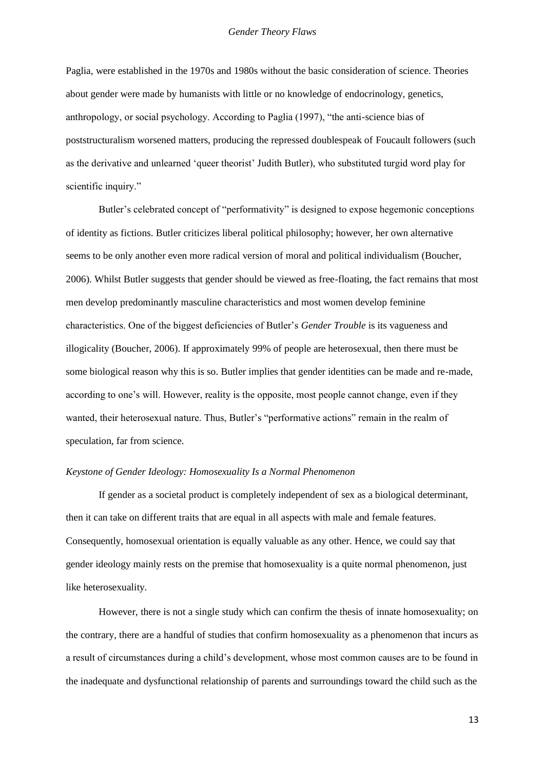Paglia, were established in the 1970s and 1980s without the basic consideration of science. Theories about gender were made by humanists with little or no knowledge of endocrinology, genetics, anthropology, or social psychology. According to Paglia (1997), "the anti-science bias of poststructuralism worsened matters, producing the repressed doublespeak of Foucault followers (such as the derivative and unlearned 'queer theorist' Judith Butler), who substituted turgid word play for scientific inquiry."

Butler's celebrated concept of "performativity" is designed to expose hegemonic conceptions of identity as fictions. Butler criticizes liberal political philosophy; however, her own alternative seems to be only another even more radical version of moral and political individualism (Boucher, 2006). Whilst Butler suggests that gender should be viewed as free-floating, the fact remains that most men develop predominantly masculine characteristics and most women develop feminine characteristics. One of the biggest deficiencies of Butler's *Gender Trouble* is its vagueness and illogicality (Boucher, 2006). If approximately 99% of people are heterosexual, then there must be some biological reason why this is so. Butler implies that gender identities can be made and re-made, according to one's will. However, reality is the opposite, most people cannot change, even if they wanted, their heterosexual nature. Thus, Butler's "performative actions" remain in the realm of speculation, far from science.

#### *Keystone of Gender Ideology: Homosexuality Is a Normal Phenomenon*

If gender as a societal product is completely independent of sex as a biological determinant, then it can take on different traits that are equal in all aspects with male and female features. Consequently, homosexual orientation is equally valuable as any other. Hence, we could say that gender ideology mainly rests on the premise that homosexuality is a quite normal phenomenon, just like heterosexuality.

However, there is not a single study which can confirm the thesis of innate homosexuality; on the contrary, there are a handful of studies that confirm homosexuality as a phenomenon that incurs as a result of circumstances during a child's development, whose most common causes are to be found in the inadequate and dysfunctional relationship of parents and surroundings toward the child such as the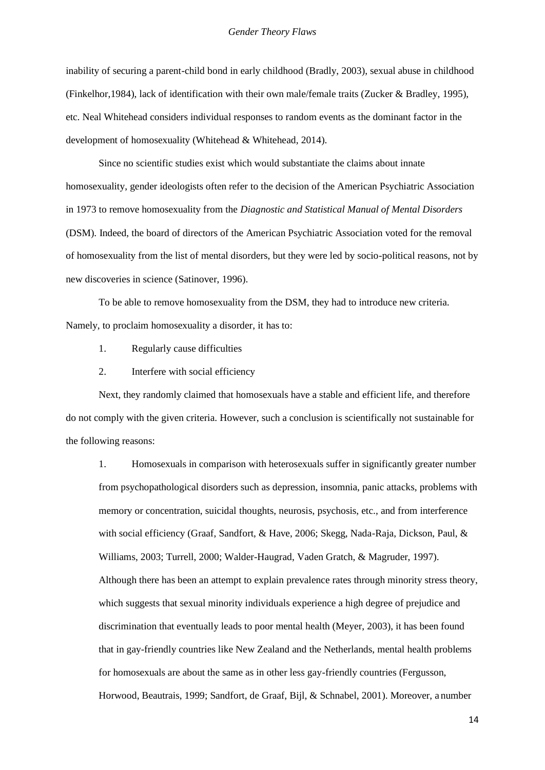inability of securing a parent-child bond in early childhood (Bradly, 2003), sexual abuse in childhood (Finkelhor,1984), lack of identification with their own male/female traits (Zucker & Bradley, 1995), etc. Neal Whitehead considers individual responses to random events as the dominant factor in the development of homosexuality (Whitehead & Whitehead, 2014).

Since no scientific studies exist which would substantiate the claims about innate homosexuality, gender ideologists often refer to the decision of the American Psychiatric Association in 1973 to remove homosexuality from the *Diagnostic and Statistical Manual of Mental Disorders*  (DSM). Indeed, the board of directors of the American Psychiatric Association voted for the removal of homosexuality from the list of mental disorders, but they were led by socio-political reasons, not by new discoveries in science (Satinover, 1996).

To be able to remove homosexuality from the DSM, they had to introduce new criteria. Namely, to proclaim homosexuality a disorder, it has to:

- 1. Regularly cause difficulties
- 2. Interfere with social efficiency

Next, they randomly claimed that homosexuals have a stable and efficient life, and therefore do not comply with the given criteria. However, such a conclusion is scientifically not sustainable for the following reasons:

1. Homosexuals in comparison with heterosexuals suffer in significantly greater number from psychopathological disorders such as depression, insomnia, panic attacks, problems with memory or concentration, suicidal thoughts, neurosis, psychosis, etc., and from interference with social efficiency (Graaf, Sandfort, & Have, 2006; Skegg, Nada-Raja, Dickson, Paul, & Williams, 2003; Turrell, 2000; Walder-Haugrad, Vaden Gratch, & Magruder, 1997). Although there has been an attempt to explain prevalence rates through minority stress theory, which suggests that sexual minority individuals experience a high degree of prejudice and discrimination that eventually leads to poor mental health (Meyer, 2003), it has been found that in gay-friendly countries like New Zealand and the Netherlands, mental health problems for homosexuals are about the same as in other less gay-friendly countries (Fergusson, Horwood, Beautrais, 1999; Sandfort, de Graaf, Bijl, & Schnabel, 2001). Moreover, a number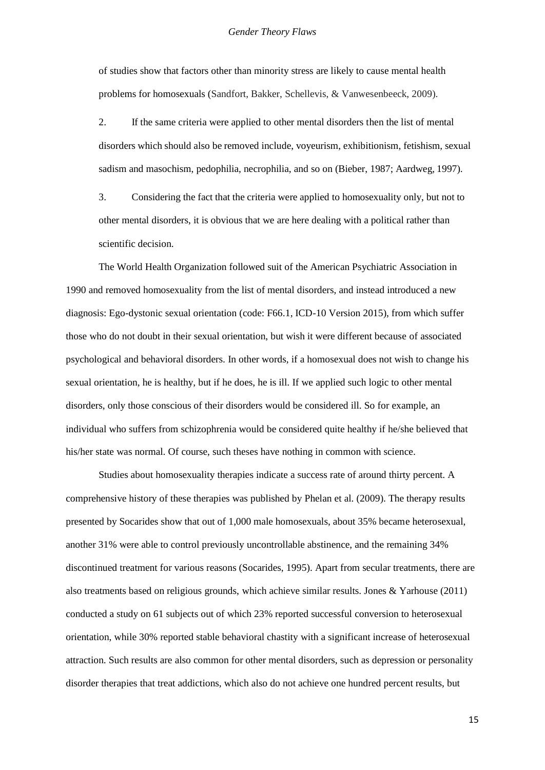of studies show that factors other than minority stress are likely to cause mental health problems for homosexuals (Sandfort, Bakker, Schellevis, & Vanwesenbeeck, 2009).

2. If the same criteria were applied to other mental disorders then the list of mental disorders which should also be removed include, voyeurism, exhibitionism, fetishism, sexual sadism and masochism, pedophilia, necrophilia, and so on (Bieber, 1987; Aardweg, 1997).

3. Considering the fact that the criteria were applied to homosexuality only, but not to other mental disorders, it is obvious that we are here dealing with a political rather than scientific decision.

The World Health Organization followed suit of the American Psychiatric Association in 1990 and removed homosexuality from the list of mental disorders, and instead introduced a new diagnosis: Ego-dystonic sexual orientation (code: F66.1, ICD-10 Version 2015), from which suffer those who do not doubt in their sexual orientation, but wish it were different because of associated psychological and behavioral disorders. In other words, if a homosexual does not wish to change his sexual orientation, he is healthy, but if he does, he is ill. If we applied such logic to other mental disorders, only those conscious of their disorders would be considered ill. So for example, an individual who suffers from schizophrenia would be considered quite healthy if he/she believed that his/her state was normal. Of course, such theses have nothing in common with science.

Studies about homosexuality therapies indicate a success rate of around thirty percent. A comprehensive history of these therapies was published by Phelan et al. (2009). The therapy results presented by Socarides show that out of 1,000 male homosexuals, about 35% became heterosexual, another 31% were able to control previously uncontrollable abstinence, and the remaining 34% discontinued treatment for various reasons (Socarides, 1995). Apart from secular treatments, there are also treatments based on religious grounds, which achieve similar results. Jones & Yarhouse (2011) conducted a study on 61 subjects out of which 23% reported successful conversion to heterosexual orientation, while 30% reported stable behavioral chastity with a significant increase of heterosexual attraction. Such results are also common for other mental disorders, such as depression or personality disorder therapies that treat addictions, which also do not achieve one hundred percent results, but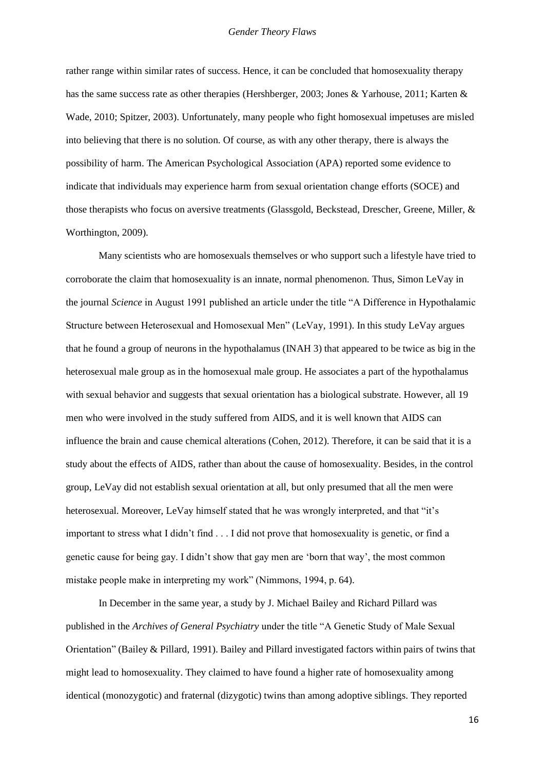rather range within similar rates of success. Hence, it can be concluded that homosexuality therapy has the same success rate as other therapies (Hershberger, 2003; Jones & Yarhouse, 2011; Karten & Wade, 2010; Spitzer, 2003). Unfortunately, many people who fight homosexual impetuses are misled into believing that there is no solution. Of course, as with any other therapy, there is always the possibility of harm. The American Psychological Association (APA) reported some evidence to indicate that individuals may experience harm from sexual orientation change efforts (SOCE) and those therapists who focus on aversive treatments (Glassgold, Beckstead, Drescher, Greene, Miller, & Worthington, 2009).

Many scientists who are homosexuals themselves or who support such a lifestyle have tried to corroborate the claim that homosexuality is an innate, normal phenomenon. Thus, Simon LeVay in the journal *Science* in August 1991 published an article under the title "A Difference in Hypothalamic Structure between Heterosexual and Homosexual Men" (LeVay, 1991). In this study LeVay argues that he found a group of neurons in the hypothalamus (INAH 3) that appeared to be twice as big in the heterosexual male group as in the homosexual male group. He associates a part of the hypothalamus with sexual behavior and suggests that sexual orientation has a biological substrate. However, all 19 men who were involved in the study suffered from AIDS, and it is well known that AIDS can influence the brain and cause chemical alterations (Cohen, 2012). Therefore, it can be said that it is a study about the effects of AIDS, rather than about the cause of homosexuality. Besides, in the control group, LeVay did not establish sexual orientation at all, but only presumed that all the men were heterosexual. Moreover, LeVay himself stated that he was wrongly interpreted, and that "it's important to stress what I didn't find . . . I did not prove that homosexuality is genetic, or find a genetic cause for being gay. I didn't show that gay men are 'born that way', the most common mistake people make in interpreting my work" (Nimmons, 1994, p. 64).

In December in the same year, a study by J. Michael Bailey and Richard Pillard was published in the *Archives of General Psychiatry* under the title "A Genetic Study of Male Sexual Orientation" (Bailey & Pillard, 1991). Bailey and Pillard investigated factors within pairs of twins that might lead to homosexuality. They claimed to have found a higher rate of homosexuality among identical (monozygotic) and fraternal (dizygotic) twins than among adoptive siblings. They reported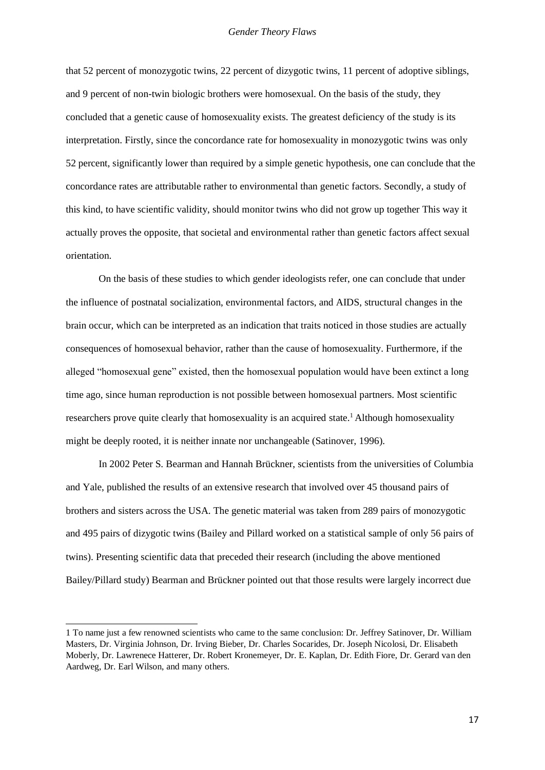that 52 percent of monozygotic twins, 22 percent of dizygotic twins, 11 percent of adoptive siblings, and 9 percent of non-twin biologic brothers were homosexual. On the basis of the study, they concluded that a genetic cause of homosexuality exists. The greatest deficiency of the study is its interpretation. Firstly, since the concordance rate for homosexuality in monozygotic twins was only 52 percent, significantly lower than required by a simple genetic hypothesis, one can conclude that the concordance rates are attributable rather to environmental than genetic factors. Secondly, a study of this kind, to have scientific validity, should monitor twins who did not grow up together This way it actually proves the opposite, that societal and environmental rather than genetic factors affect sexual orientation.

On the basis of these studies to which gender ideologists refer, one can conclude that under the influence of postnatal socialization, environmental factors, and AIDS, structural changes in the brain occur, which can be interpreted as an indication that traits noticed in those studies are actually consequences of homosexual behavior, rather than the cause of homosexuality. Furthermore, if the alleged "homosexual gene" existed, then the homosexual population would have been extinct a long time ago, since human reproduction is not possible between homosexual partners. Most scientific researchers prove quite clearly that homosexuality is an acquired state.<sup>1</sup> Although homosexuality might be deeply rooted, it is neither innate nor unchangeable (Satinover, 1996).

In 2002 Peter S. Bearman and Hannah Brückner, scientists from the universities of Columbia and Yale, published the results of an extensive research that involved over 45 thousand pairs of brothers and sisters across the USA. The genetic material was taken from 289 pairs of monozygotic and 495 pairs of dizygotic twins (Bailey and Pillard worked on a statistical sample of only 56 pairs of twins). Presenting scientific data that preceded their research (including the above mentioned Bailey/Pillard study) Bearman and Brückner pointed out that those results were largely incorrect due

<sup>1</sup> To name just a few renowned scientists who came to the same conclusion: Dr. Jeffrey Satinover, Dr. William Masters, Dr. Virginia Johnson, Dr. Irving Bieber, Dr. Charles Socarides, Dr. Joseph Nicolosi, Dr. Elisabeth Moberly, Dr. Lawrenece Hatterer, Dr. Robert Kronemeyer, Dr. E. Kaplan, Dr. Edith Fiore, Dr. Gerard van den Aardweg, Dr. Earl Wilson, and many others.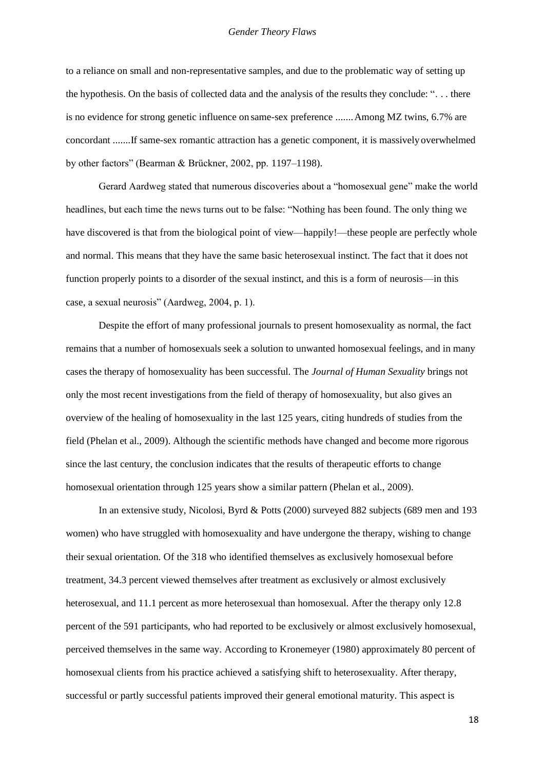to a reliance on small and non-representative samples, and due to the problematic way of setting up the hypothesis. On the basis of collected data and the analysis of the results they conclude: ". . . there is no evidence for strong genetic influence on same-sex preference .......Among MZ twins, 6.7% are concordant .......If same-sex romantic attraction has a genetic component, it is massively overwhelmed by other factors" (Bearman & Brückner, 2002, pp. 1197–1198).

Gerard Aardweg stated that numerous discoveries about a "homosexual gene" make the world headlines, but each time the news turns out to be false: "Nothing has been found. The only thing we have discovered is that from the biological point of view—happily!—these people are perfectly whole and normal. This means that they have the same basic heterosexual instinct. The fact that it does not function properly points to a disorder of the sexual instinct, and this is a form of neurosis—in this case, a sexual neurosis" (Aardweg, 2004, p. 1).

Despite the effort of many professional journals to present homosexuality as normal, the fact remains that a number of homosexuals seek a solution to unwanted homosexual feelings, and in many cases the therapy of homosexuality has been successful. The *Journal of Human Sexuality* brings not only the most recent investigations from the field of therapy of homosexuality, but also gives an overview of the healing of homosexuality in the last 125 years, citing hundreds of studies from the field (Phelan et al., 2009). Although the scientific methods have changed and become more rigorous since the last century, the conclusion indicates that the results of therapeutic efforts to change homosexual orientation through 125 years show a similar pattern (Phelan et al., 2009).

In an extensive study, Nicolosi, Byrd & Potts (2000) surveyed 882 subjects (689 men and 193 women) who have struggled with homosexuality and have undergone the therapy, wishing to change their sexual orientation. Of the 318 who identified themselves as exclusively homosexual before treatment, 34.3 percent viewed themselves after treatment as exclusively or almost exclusively heterosexual, and 11.1 percent as more heterosexual than homosexual. After the therapy only 12.8 percent of the 591 participants, who had reported to be exclusively or almost exclusively homosexual, perceived themselves in the same way. According to Kronemeyer (1980) approximately 80 percent of homosexual clients from his practice achieved a satisfying shift to heterosexuality. After therapy, successful or partly successful patients improved their general emotional maturity. This aspect is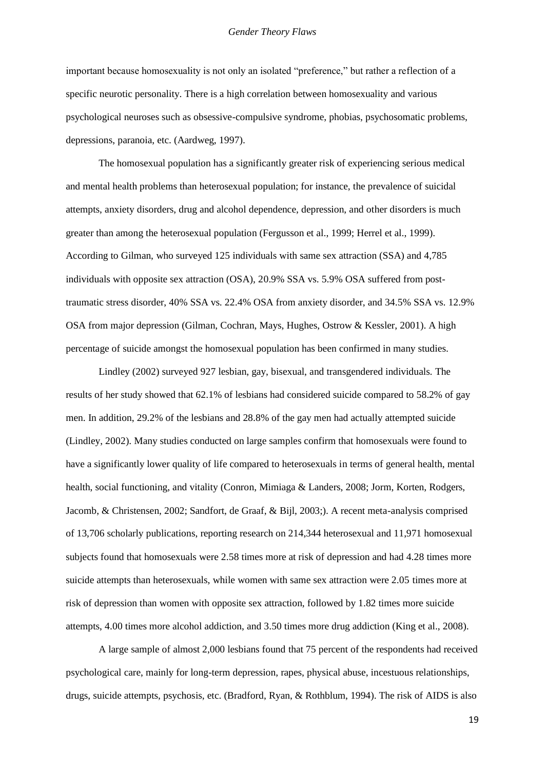important because homosexuality is not only an isolated "preference," but rather a reflection of a specific neurotic personality. There is a high correlation between homosexuality and various psychological neuroses such as obsessive-compulsive syndrome, phobias, psychosomatic problems, depressions, paranoia, etc. (Aardweg, 1997).

The homosexual population has a significantly greater risk of experiencing serious medical and mental health problems than heterosexual population; for instance, the prevalence of suicidal attempts, anxiety disorders, drug and alcohol dependence, depression, and other disorders is much greater than among the heterosexual population (Fergusson et al., 1999; Herrel et al., 1999). According to Gilman, who surveyed 125 individuals with same sex attraction (SSA) and 4,785 individuals with opposite sex attraction (OSA), 20.9% SSA vs. 5.9% OSA suffered from posttraumatic stress disorder, 40% SSA vs. 22.4% OSA from anxiety disorder, and 34.5% SSA vs. 12.9% OSA from major depression (Gilman, Cochran, Mays, Hughes, Ostrow & Kessler, 2001). A high percentage of suicide amongst the homosexual population has been confirmed in many studies.

Lindley (2002) surveyed 927 lesbian, gay, bisexual, and transgendered individuals. The results of her study showed that 62.1% of lesbians had considered suicide compared to 58.2% of gay men. In addition, 29.2% of the lesbians and 28.8% of the gay men had actually attempted suicide (Lindley, 2002). Many studies conducted on large samples confirm that homosexuals were found to have a significantly lower quality of life compared to heterosexuals in terms of general health, mental health, social functioning, and vitality (Conron, Mimiaga & Landers, 2008; Jorm, Korten, Rodgers, Jacomb, & Christensen, 2002; Sandfort, de Graaf, & Bijl, 2003;). A recent meta-analysis comprised of 13,706 scholarly publications, reporting research on 214,344 heterosexual and 11,971 homosexual subjects found that homosexuals were 2.58 times more at risk of depression and had 4.28 times more suicide attempts than heterosexuals, while women with same sex attraction were 2.05 times more at risk of depression than women with opposite sex attraction, followed by 1.82 times more suicide attempts, 4.00 times more alcohol addiction, and 3.50 times more drug addiction (King et al., 2008).

A large sample of almost 2,000 lesbians found that 75 percent of the respondents had received psychological care, mainly for long-term depression, rapes, physical abuse, incestuous relationships, drugs, suicide attempts, psychosis, etc. (Bradford, Ryan, & Rothblum, 1994). The risk of AIDS is also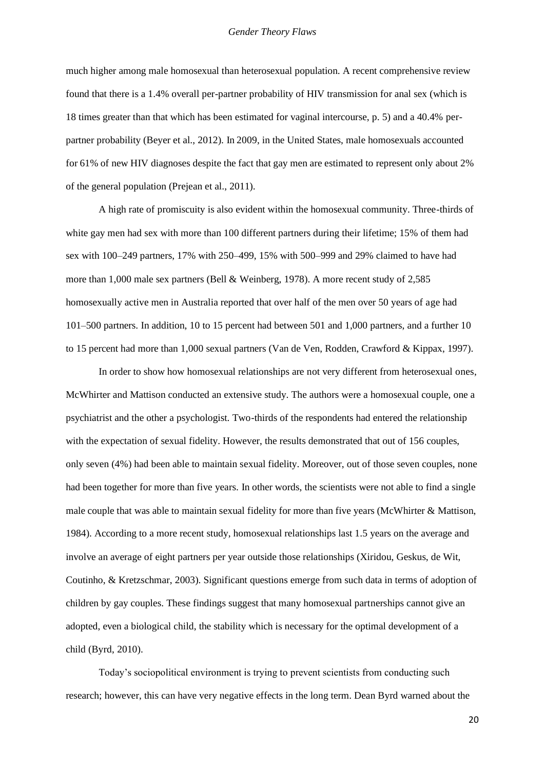much higher among male homosexual than heterosexual population. A recent comprehensive review found that there is a 1.4% overall per-partner probability of HIV transmission for anal sex (which is 18 times greater than that which has been estimated for vaginal intercourse, p. 5) and a 40.4% perpartner probability (Beyer et al., 2012). In 2009, in the United States, male homosexuals accounted for 61% of new HIV diagnoses despite the fact that gay men are estimated to represent only about 2% of the general population (Prejean et al., 2011).

A high rate of promiscuity is also evident within the homosexual community. Three-thirds of white gay men had sex with more than 100 different partners during their lifetime; 15% of them had sex with 100–249 partners, 17% with 250–499, 15% with 500–999 and 29% claimed to have had more than 1,000 male sex partners (Bell & Weinberg, 1978). A more recent study of 2,585 homosexually active men in Australia reported that over half of the men over 50 years of age had 101–500 partners. In addition, 10 to 15 percent had between 501 and 1,000 partners, and a further 10 to 15 percent had more than 1,000 sexual partners (Van de Ven, Rodden, Crawford & Kippax, 1997).

In order to show how homosexual relationships are not very different from heterosexual ones, McWhirter and Mattison conducted an extensive study. The authors were a homosexual couple, one a psychiatrist and the other a psychologist. Two-thirds of the respondents had entered the relationship with the expectation of sexual fidelity. However, the results demonstrated that out of 156 couples, only seven (4%) had been able to maintain sexual fidelity. Moreover, out of those seven couples, none had been together for more than five years. In other words, the scientists were not able to find a single male couple that was able to maintain sexual fidelity for more than five years (McWhirter & Mattison, 1984). According to a more recent study, homosexual relationships last 1.5 years on the average and involve an average of eight partners per year outside those relationships (Xiridou, Geskus, de Wit, Coutinho, & Kretzschmar, 2003). Significant questions emerge from such data in terms of adoption of children by gay couples. These findings suggest that many homosexual partnerships cannot give an adopted, even a biological child, the stability which is necessary for the optimal development of a child (Byrd, 2010).

Today's sociopolitical environment is trying to prevent scientists from conducting such research; however, this can have very negative effects in the long term. Dean Byrd warned about the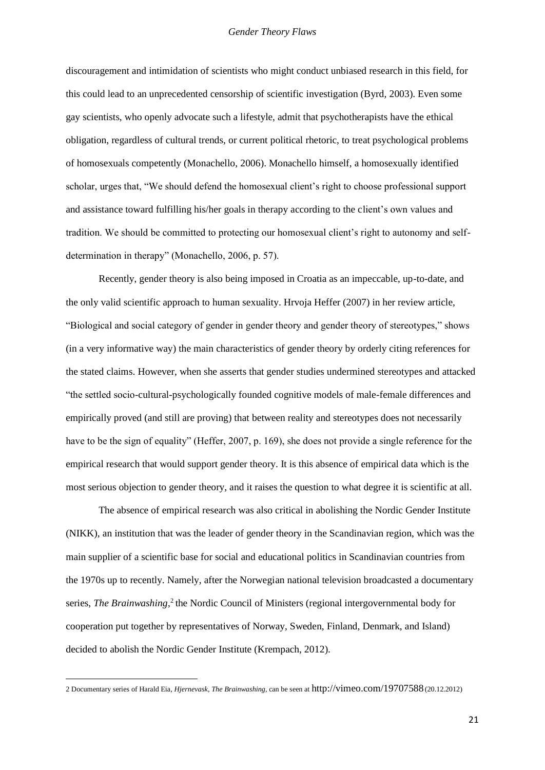discouragement and intimidation of scientists who might conduct unbiased research in this field, for this could lead to an unprecedented censorship of scientific investigation (Byrd, 2003). Even some gay scientists, who openly advocate such a lifestyle, admit that psychotherapists have the ethical obligation, regardless of cultural trends, or current political rhetoric, to treat psychological problems of homosexuals competently (Monachello, 2006). Monachello himself, a homosexually identified scholar, urges that, "We should defend the homosexual client's right to choose professional support and assistance toward fulfilling his/her goals in therapy according to the client's own values and tradition. We should be committed to protecting our homosexual client's right to autonomy and selfdetermination in therapy" (Monachello, 2006, p. 57).

Recently, gender theory is also being imposed in Croatia as an impeccable, up-to-date, and the only valid scientific approach to human sexuality. Hrvoja Heffer (2007) in her review article, "Biological and social category of gender in gender theory and gender theory of stereotypes," shows (in a very informative way) the main characteristics of gender theory by orderly citing references for the stated claims. However, when she asserts that gender studies undermined stereotypes and attacked "the settled socio-cultural-psychologically founded cognitive models of male-female differences and empirically proved (and still are proving) that between reality and stereotypes does not necessarily have to be the sign of equality" (Heffer, 2007, p. 169), she does not provide a single reference for the empirical research that would support gender theory. It is this absence of empirical data which is the most serious objection to gender theory, and it raises the question to what degree it is scientific at all.

The absence of empirical research was also critical in abolishing the Nordic Gender Institute (NIKK), an institution that was the leader of gender theory in the Scandinavian region, which was the main supplier of a scientific base for social and educational politics in Scandinavian countries from the 1970s up to recently. Namely, after the Norwegian national television broadcasted a documentary series, *The Brainwashing*,<sup>2</sup> the Nordic Council of Ministers (regional intergovernmental body for cooperation put together by representatives of Norway, Sweden, Finland, Denmark, and Island) decided to abolish the Nordic Gender Institute (Krempach, 2012).

<sup>2</sup> Documentary series of Harald Eia, *Hjernevask*, *The Brainwashing,* can be seen at <http://vimeo.com/19707588>(20.12.2012)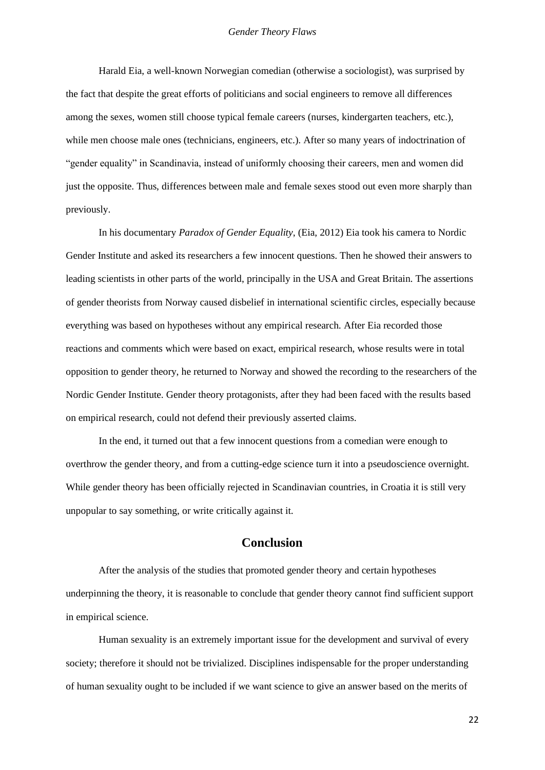Harald Eia, a well-known Norwegian comedian (otherwise a sociologist), was surprised by the fact that despite the great efforts of politicians and social engineers to remove all differences among the sexes, women still choose typical female careers (nurses, kindergarten teachers, etc.), while men choose male ones (technicians, engineers, etc.). After so many years of indoctrination of "gender equality" in Scandinavia, instead of uniformly choosing their careers, men and women did just the opposite. Thus, differences between male and female sexes stood out even more sharply than previously.

In his documentary *Paradox of Gender Equality*, (Eia, 2012) Eia took his camera to Nordic Gender Institute and asked its researchers a few innocent questions. Then he showed their answers to leading scientists in other parts of the world, principally in the USA and Great Britain. The assertions of gender theorists from Norway caused disbelief in international scientific circles, especially because everything was based on hypotheses without any empirical research. After Eia recorded those reactions and comments which were based on exact, empirical research, whose results were in total opposition to gender theory, he returned to Norway and showed the recording to the researchers of the Nordic Gender Institute. Gender theory protagonists, after they had been faced with the results based on empirical research, could not defend their previously asserted claims.

In the end, it turned out that a few innocent questions from a comedian were enough to overthrow the gender theory, and from a cutting-edge science turn it into a pseudoscience overnight. While gender theory has been officially rejected in Scandinavian countries, in Croatia it is still very unpopular to say something, or write critically against it.

### **Conclusion**

After the analysis of the studies that promoted gender theory and certain hypotheses underpinning the theory, it is reasonable to conclude that gender theory cannot find sufficient support in empirical science.

Human sexuality is an extremely important issue for the development and survival of every society; therefore it should not be trivialized. Disciplines indispensable for the proper understanding of human sexuality ought to be included if we want science to give an answer based on the merits of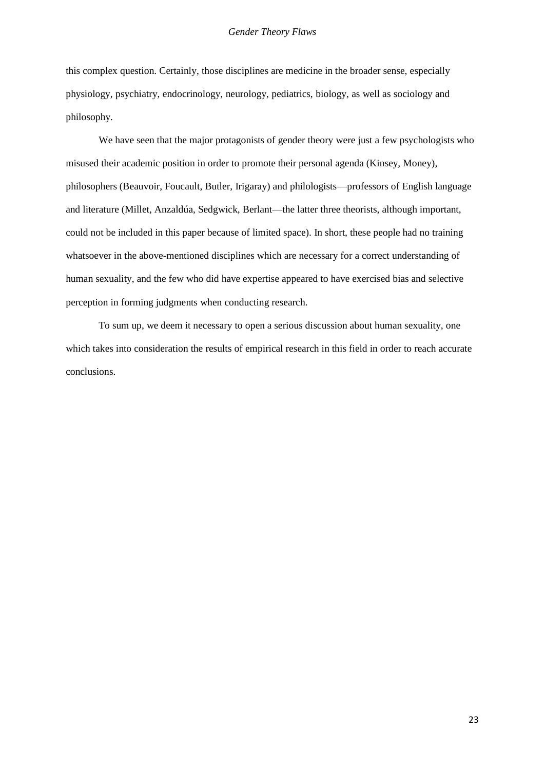this complex question. Certainly, those disciplines are medicine in the broader sense, especially physiology, psychiatry, endocrinology, neurology, pediatrics, biology, as well as sociology and philosophy.

We have seen that the major protagonists of gender theory were just a few psychologists who misused their academic position in order to promote their personal agenda (Kinsey, Money), philosophers (Beauvoir, Foucault, Butler, Irigaray) and philologists—professors of English language and literature (Millet, Anzaldúa, Sedgwick, Berlant—the latter three theorists, although important, could not be included in this paper because of limited space). In short, these people had no training whatsoever in the above-mentioned disciplines which are necessary for a correct understanding of human sexuality, and the few who did have expertise appeared to have exercised bias and selective perception in forming judgments when conducting research.

To sum up, we deem it necessary to open a serious discussion about human sexuality, one which takes into consideration the results of empirical research in this field in order to reach accurate conclusions.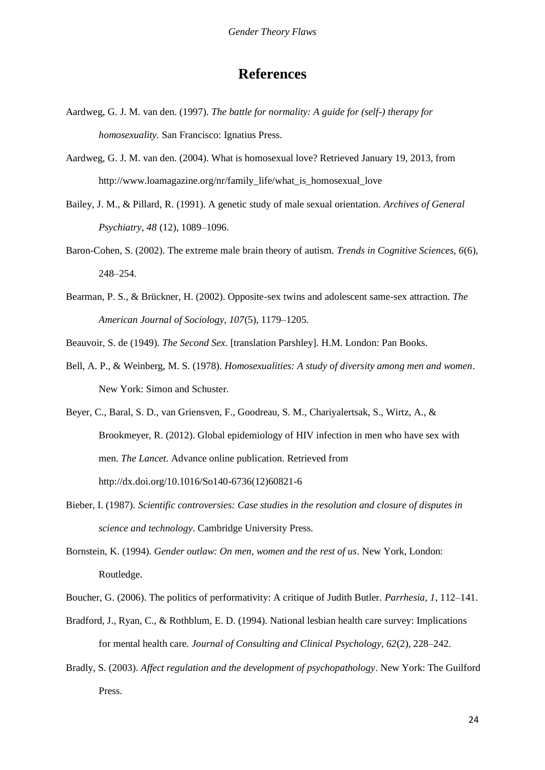# **References**

- Aardweg, G. J. M. van den. (1997). *The battle for normality: A guide for (self-) therapy for homosexuality.* San Francisco: Ignatius Press.
- Aardweg, G. J. M. van den. (2004). What is homosexual love? Retrieved January 19, 2013, from [http://www.loamagazine.org/nr/family\\_life/what\\_is\\_homosexual\\_love](http://www.loamagazine.org/nr/family_life/what_is_homosexual_love)
- Bailey, J. M., & Pillard, R. (1991). A genetic study of male sexual orientation. *Archives of General Psychiatry, 48* (12), 1089–1096.
- Baron-Cohen, S. (2002). The extreme male brain theory of autism. *Trends in Cognitive Sciences, 6*(6), 248–254.
- Bearman, P. S., & Brückner, H. (2002). Opposite-sex twins and adolescent same-sex attraction. *The American Journal of Sociology, 107*(5), 1179–1205.
- Beauvoir, S. de (1949). *The Second Sex*. [translation Parshley]. H.M. London: Pan Books.
- Bell, A. P., & Weinberg, M. S. (1978). *Homosexualities: A study of diversity among men and women*. New York: Simon and Schuster.
- Beyer, C., Baral, S. D., van Griensven, F., Goodreau, S. M., Chariyalertsak, S., Wirtz, A., & Brookmeyer, R. (2012). Global epidemiology of HIV infection in men who have sex with men. *The Lancet*. Advance online publication. Retrieved from [http://dx.doi.org/10.1016/So140-6736\(12\)60821-6](http://dx.doi.org/10.1016/So140-6736(12)60821-6)
- Bieber, I. (1987). *Scientific controversies: Case studies in the resolution and closure of disputes in science and technology*. Cambridge University Press.
- Bornstein, K. (1994). *Gender outlaw: On men, women and the rest of us*. New York, London: Routledge.
- Boucher, G. (2006). The politics of performativity: A critique of Judith Butler. *Parrhesia, 1*, 112–141.
- Bradford, J., Ryan, C., & Rothblum, E. D. (1994). National lesbian health care survey: Implications for mental health care. *Journal of Consulting and Clinical Psychology, 62*(2), 228–242.
- Bradly, S. (2003). *Affect regulation and the development of psychopathology*. New York: The Guilford Press.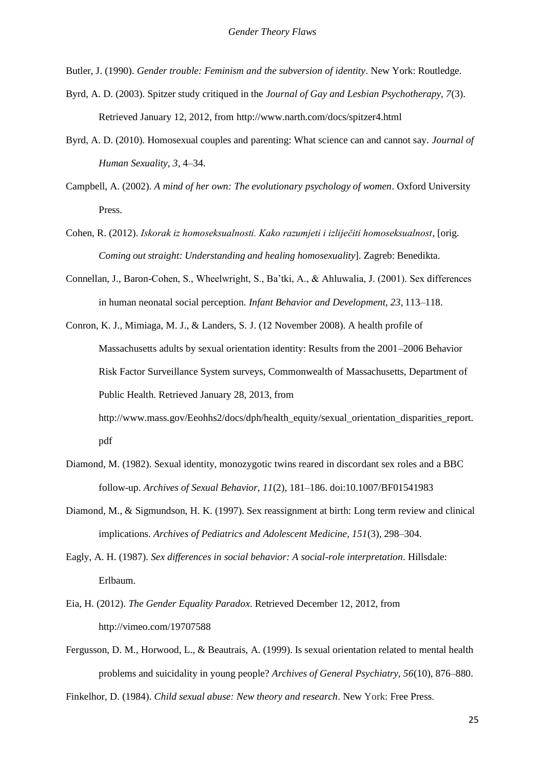Butler, J. (1990). *Gender trouble: Feminism and the subversion of identity*. New York: Routledge.

- Byrd, A. D. (2003). Spitzer study critiqued in the *Journal of Gay and Lesbian Psychotherapy, 7*(3). Retrieved January 12, 2012, from<http://www.narth.com/docs/spitzer4.html>
- Byrd, A. D. (2010). Homosexual couples and parenting: What science can and cannot say. *Journal of Human Sexuality, 3*, 4–34.
- Campbell, A. (2002). *A mind of her own: The evolutionary psychology of women*. Oxford University Press.
- Cohen, R. (2012). *Iskorak iz homoseksualnosti. Kako razumjeti i izliječiti homoseksualnost*, [orig. *Coming out straight: Understanding and healing homosexuality*]. Zagreb: Benedikta.
- Connellan, J., Baron-Cohen, S., Wheelwright, S., Ba'tki, A., & Ahluwalia, J. (2001). Sex differences in human neonatal social perception. *Infant Behavior and Development, 23*, 113–118.
- Conron, K. J., Mimiaga, M. J., & Landers, S. J. (12 November 2008). A health profile of Massachusetts adults by sexual orientation identity: Results from the 2001–2006 Behavior Risk Factor Surveillance System surveys, Commonwealth of Massachusetts, Department of Public Health. Retrieved January 28, 2013, from [http://www.mass.gov/Eeohhs2/docs/dph/health\\_equity/sexual\\_orientation\\_disparities\\_report.](http://www.mass.gov/Eeohhs2/docs/dph/health_equity/sexual_orientation_disparities_report) pdf
- Diamond, M. (1982). Sexual identity, monozygotic twins reared in discordant sex roles and a BBC follow-up. *Archives of Sexual Behavior, 11*(2), 181–186. doi:10.1007/BF01541983
- Diamond, M., & Sigmundson, H. K. (1997). Sex reassignment at birth: Long term review and clinical implications. *Archives of Pediatrics and Adolescent Medicine, 151*(3), 298–304.
- Eagly, A. H. (1987). *Sex differences in social behavior: A social-role interpretation*. Hillsdale: Erlbaum.
- Eia, H. (2012). *The Gender Equality Paradox*. Retrieved December 12, 2012, from <http://vimeo.com/19707588>
- Fergusson, D. M., Horwood, L., & Beautrais, A. (1999). Is sexual orientation related to mental health problems and suicidality in young people? *Archives of General Psychiatry, 56*(10), 876–880.

Finkelhor, D. (1984). *Child sexual abuse: New theory and research*. New York: Free Press.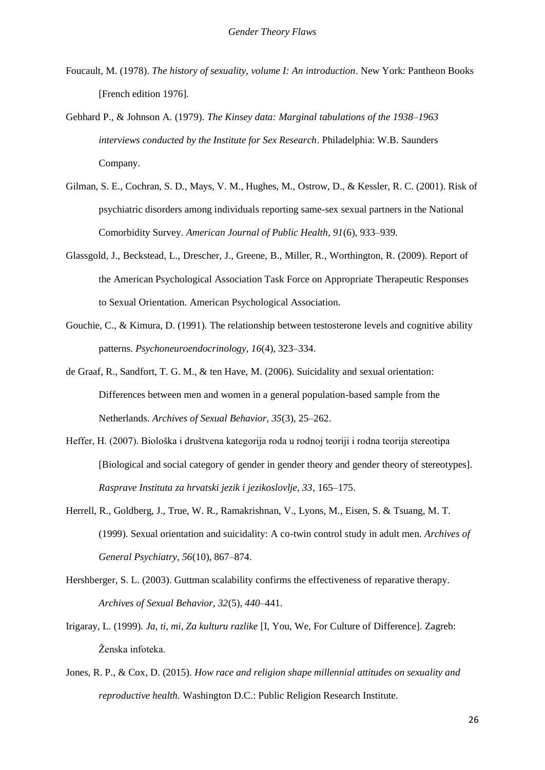- Foucault, M. (1978). *The history of sexuality, volume I: An introduction*. New York: Pantheon Books [French edition 1976].
- Gebhard P., & Johnson A. (1979). *The Kinsey data: Marginal tabulations of the 1938–1963 interviews conducted by the Institute for Sex Research*. Philadelphia: W.B. Saunders Company.
- Gilman, S. E., Cochran, S. D., Mays, V. M., Hughes, M., Ostrow, D., & Kessler, R. C. (2001). Risk of psychiatric disorders among individuals reporting same-sex sexual partners in the National Comorbidity Survey. *American Journal of Public Health, 91*(6), 933–939.
- Glassgold, J., Beckstead, L., Drescher, J., Greene, B., Miller, R., Worthington, R. (2009). Report of the American Psychological Association Task Force on Appropriate Therapeutic Responses to Sexual Orientation. American Psychological Association.
- Gouchie, C., & Kimura, D. (1991). The relationship between testosterone levels and cognitive ability patterns. *Psychoneuroendocrinology, 16*(4), 323–334.
- de Graaf, R., Sandfort, T. G. M., & ten Have, M. (2006). Suicidality and sexual orientation: Differences between men and women in a general population-based sample from the Netherlands. *Archives of Sexual Behavior, 35*(3), 25–262.
- Heffer, H. (2007). Biološka i društvena kategorija roda u rodnoj teoriji i rodna teorija stereotipa [Biological and social category of gender in gender theory and gender theory of stereotypes]. *Rasprave Instituta za hrvatski jezik i jezikoslovlje, 33*, 165–175.
- Herrell, R., Goldberg, J., True, W. R., Ramakrishnan, V., Lyons, M., Eisen, S. & Tsuang, M. T. (1999). Sexual orientation and suicidality: A co-twin control study in adult men. *Archives of General Psychiatry, 56*(10), 867–874.
- Hershberger, S. L. (2003). Guttman scalability confirms the effectiveness of reparative therapy. *Archives of Sexual Behavior, 32*(5), *440*–441.
- Irigaray, L. (1999). *Ja, ti, mi, Za kulturu razlike* [I, You, We, For Culture of Difference]. Zagreb: Ženska infoteka.
- Jones, R. P., & Cox, D. (2015). *How race and religion shape millennial attitudes on sexuality and reproductive health.* Washington D.C.: Public Religion Research Institute.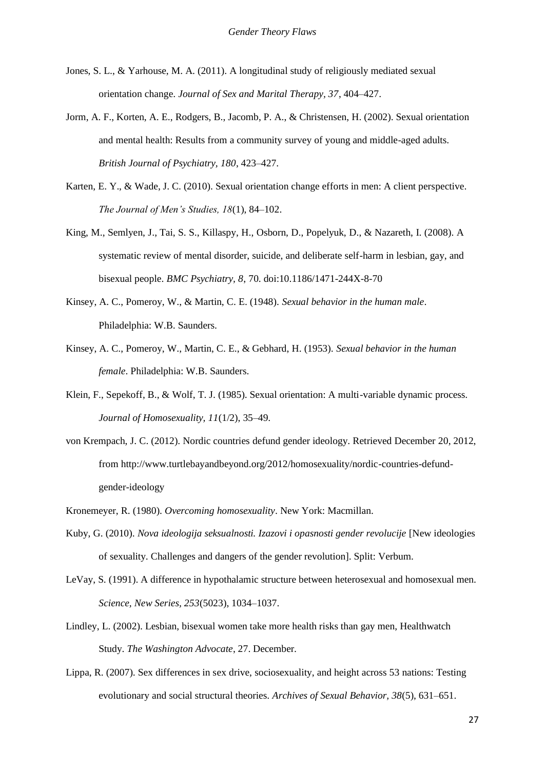- Jones, S. L., & Yarhouse, M. A. (2011). A longitudinal study of religiously mediated sexual orientation change. *Journal of Sex and Marital Therapy, 37*, 404–427.
- Jorm, A. F., Korten, A. E., Rodgers, B., Jacomb, P. A., & Christensen, H. (2002). Sexual orientation and mental health: Results from a community survey of young and middle-aged adults. *British Journal of Psychiatry, 180*, 423–427.
- Karten, E. Y., & Wade, J. C. (2010). Sexual orientation change efforts in men: A client perspective. *The Journal of Men's Studies, 18*(1), 84–102.
- King, M., Semlyen, J., Tai, S. S., Killaspy, H., Osborn, D., Popelyuk, D., & Nazareth, I. (2008). A systematic review of mental disorder, suicide, and deliberate self-harm in lesbian, gay, and bisexual people. *BMC Psychiatry, 8*, 70. doi:10.1186/1471-244X-8-70
- Kinsey, A. C., Pomeroy, W., & Martin, C. E. (1948). *Sexual behavior in the human male*. Philadelphia: W.B. Saunders.
- Kinsey, A. C., Pomeroy, W., Martin, C. E., & Gebhard, H. (1953). *Sexual behavior in the human female*. Philadelphia: W.B. Saunders.
- Klein, F., Sepekoff, B., & Wolf, T. J. (1985). Sexual orientation: A multi-variable dynamic process. *Journal of Homosexuality, 11*(1/2), 35–49.
- von Krempach, J. C. (2012). Nordic countries defund gender ideology. Retrieved December 20, 2012, from [http://www.turtlebayandbeyond.org/2012/homosexuality/nordic-countries-defund](http://www.turtlebayandbeyond.org/2012/homosexuality/nordic-countries-defund-)gender-ideology
- Kronemeyer, R. (1980). *Overcoming homosexuality*. New York: Macmillan.
- Kuby, G. (2010). *Nova ideologija seksualnosti. Izazovi i opasnosti gender revolucije* [New ideologies of sexuality. Challenges and dangers of the gender revolution]. Split: Verbum.
- LeVay, S. (1991). A difference in hypothalamic structure between heterosexual and homosexual men. *Science, New Series, 253*(5023), 1034–1037.
- Lindley, L. (2002). Lesbian, bisexual women take more health risks than gay men, Healthwatch Study. *The Washington Advocate*, 27. December.
- Lippa, R. (2007). Sex differences in sex drive, sociosexuality, and height across 53 nations: Testing evolutionary and social structural theories. *Archives of Sexual Behavior, 38*(5), 631–651.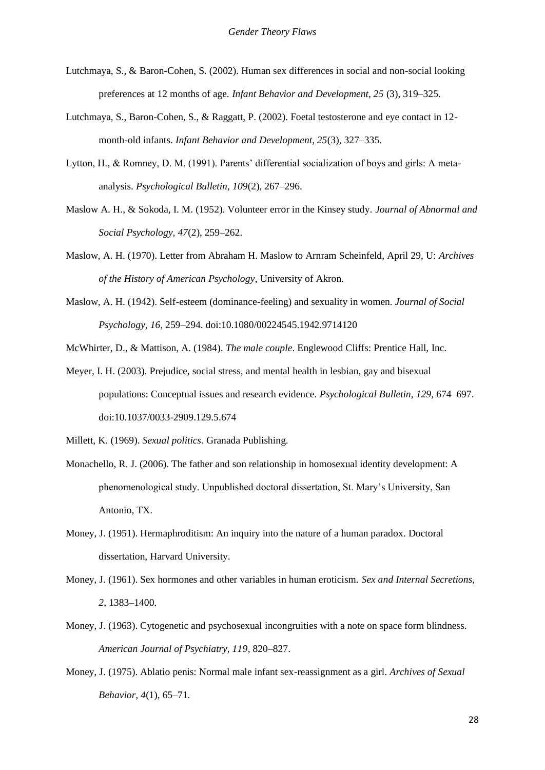- Lutchmaya, S., & Baron-Cohen, S. (2002). Human sex differences in social and non-social looking preferences at 12 months of age. *Infant Behavior and Development, 25* (3), 319–325.
- Lutchmaya, S., Baron-Cohen, S., & Raggatt, P. (2002). Foetal testosterone and eye contact in 12 month-old infants. *Infant Behavior and Development, 25*(3), 327–335.
- Lytton, H., & Romney, D. M. (1991). Parents' differential socialization of boys and girls: A metaanalysis. *Psychological Bulletin, 109*(2), 267–296.
- Maslow A. H., & Sokoda, I. M. (1952). Volunteer error in the Kinsey study. *Journal of Abnormal and Social Psychology, 47*(2), 259–262.
- Maslow, A. H. (1970). Letter from Abraham H. Maslow to Arnram Scheinfeld, April 29, U: *Archives of the History of American Psychology*, University of Akron.
- Maslow, A. H. (1942). Self-esteem (dominance-feeling) and sexuality in women. *Journal of Social Psychology*, *16*, 259–294. doi:10.1080/00224545.1942.9714120
- McWhirter, D., & Mattison, A. (1984). *The male couple*. Englewood Cliffs: Prentice Hall, Inc.
- Meyer, I. H. (2003). Prejudice, social stress, and mental health in lesbian, gay and bisexual populations: Conceptual issues and research evidence. *Psychological Bulletin, 129,* 674–697. doi:10.1037/0033-2909.129.5.674

Millett, K. (1969). *Sexual politics*. Granada Publishing.

- Monachello, R. J. (2006). The father and son relationship in homosexual identity development: A phenomenological study. Unpublished doctoral dissertation, St. Mary's University, San Antonio, TX.
- Money, J. (1951). Hermaphroditism: An inquiry into the nature of a human paradox. Doctoral dissertation, Harvard University.
- Money, J. (1961). Sex hormones and other variables in human eroticism. *Sex and Internal Secretions, 2*, 1383–1400.
- Money, J. (1963). Cytogenetic and psychosexual incongruities with a note on space form blindness. *American Journal of Psychiatry, 119*, 820–827.
- Money, J. (1975). Ablatio penis: Normal male infant sex-reassignment as a girl. *Archives of Sexual Behavior, 4*(1), 65–71.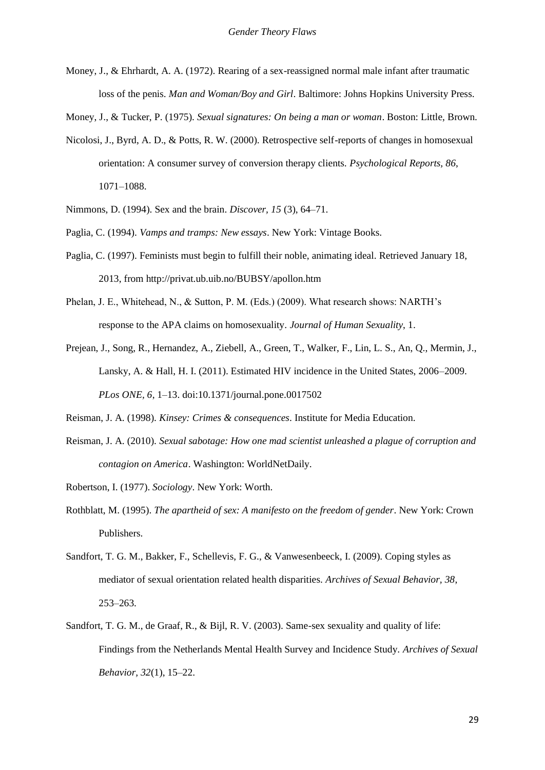- Money, J., & Ehrhardt, A. A. (1972). Rearing of a sex-reassigned normal male infant after traumatic loss of the penis. *Man and Woman/Boy and Girl*. Baltimore: Johns Hopkins University Press.
- Money, J., & Tucker, P. (1975). *Sexual signatures: On being a man or woman*. Boston: Little, Brown.
- Nicolosi, J., Byrd, A. D., & Potts, R. W. (2000). Retrospective self-reports of changes in homosexual orientation: A consumer survey of conversion therapy clients. *Psychological Reports, 86*, 1071–1088.
- Nimmons, D. (1994). Sex and the brain. *Discover, 15* (3), 64–71.
- Paglia, C. (1994). *Vamps and tramps: New essays*. New York: Vintage Books.
- Paglia, C. (1997). Feminists must begin to fulfill their noble, animating ideal. Retrieved January 18, 2013, from<http://privat.ub.uib.no/BUBSY/apollon.htm>
- Phelan, J. E., Whitehead, N., & Sutton, P. M. (Eds.) (2009). What research shows: NARTH's response to the APA claims on homosexuality. *Journal of Human Sexuality*, 1.
- Prejean, J., Song, R., Hernandez, A., Ziebell, A., Green, T., Walker, F., Lin, L. S., An, Q., Mermin, J., Lansky, A. & Hall, H. I. (2011). Estimated HIV incidence in the United States, 2006–2009. *PLos ONE, 6*, 1–13. doi:10.1371/journal.pone.0017502
- Reisman, J. A. (1998). *Kinsey: Crimes & consequences*. Institute for Media Education.
- Reisman, J. A. (2010). *Sexual sabotage: How one mad scientist unleashed a plague of corruption and contagion on America*. Washington: WorldNetDaily.
- Robertson, I. (1977). *Sociology*. New York: Worth.
- Rothblatt, M. (1995). *The apartheid of sex: A manifesto on the freedom of gender*. New York: Crown Publishers.
- Sandfort, T. G. M., Bakker, F., Schellevis, F. G., & Vanwesenbeeck, I. (2009). Coping styles as mediator of sexual orientation related health disparities. *Archives of Sexual Behavior, 38*, 253–263.
- Sandfort, T. G. M., de Graaf, R., & Bijl, R. V. (2003). Same-sex sexuality and quality of life: Findings from the Netherlands Mental Health Survey and Incidence Study. *Archives of Sexual Behavior, 32*(1), 15–22.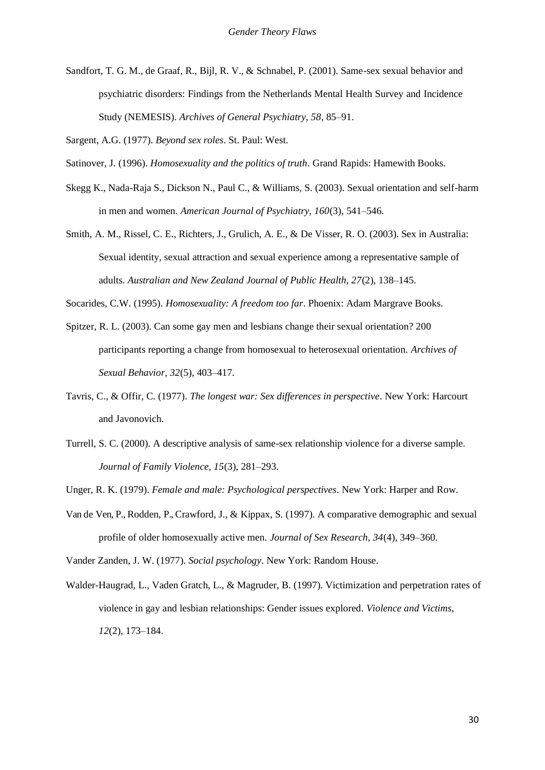Sandfort, T. G. M., de Graaf, R., Bijl, R. V., & Schnabel, P. (2001). Same-sex sexual behavior and psychiatric disorders: Findings from the Netherlands Mental Health Survey and Incidence Study (NEMESIS). *Archives of General Psychiatry, 58*, 85–91.

Sargent, A.G. (1977). *Beyond sex roles*. St. Paul: West.

- Skegg K., Nada-Raja S., Dickson N., Paul C., & Williams, S. (2003). Sexual orientation and self-harm in men and women. *American Journal of Psychiatry, 160*(3), 541–546.
- Smith, A. M., Rissel, C. E., Richters, J., Grulich, A. E., & De Visser, R. O. (2003). Sex in Australia: Sexual identity, sexual attraction and sexual experience among a representative sample of adults. *Australian and New Zealand Journal of Public Health, 27*(2), 138–145.

Socarides, C.W. (1995). *Homosexuality: A freedom too far*. Phoenix: Adam Margrave Books.

- Spitzer, R. L. (2003). Can some gay men and lesbians change their sexual orientation? 200 participants reporting a change from homosexual to heterosexual orientation. *Archives of Sexual Behavior, 32*(5), 403–417.
- Tavris, C., & Offir, C. (1977). *The longest war: Sex differences in perspective*. New York: Harcourt and Javonovich.
- Turrell, S. C. (2000). A descriptive analysis of same-sex relationship violence for a diverse sample. *Journal of Family Violence, 15*(3), 281–293.

Unger, R. K. (1979). *Female and male: Psychological perspectives*. New York: Harper and Row.

Van de Ven, P., Rodden, P., Crawford, J., & Kippax, S. (1997). A comparative demographic and sexual profile of older homosexually active men. *Journal of Sex Research, 34*(4), 349–360.

Vander Zanden, J. W. (1977). *Social psychology*. New York: Random House.

Walder-Haugrad, L., Vaden Gratch, L., & Magruder, B. (1997). Victimization and perpetration rates of violence in gay and lesbian relationships: Gender issues explored. *Violence and Victims, 12*(2), 173–184.

Satinover, J. (1996). *Homosexuality and the politics of truth*. Grand Rapids: Hamewith Books.